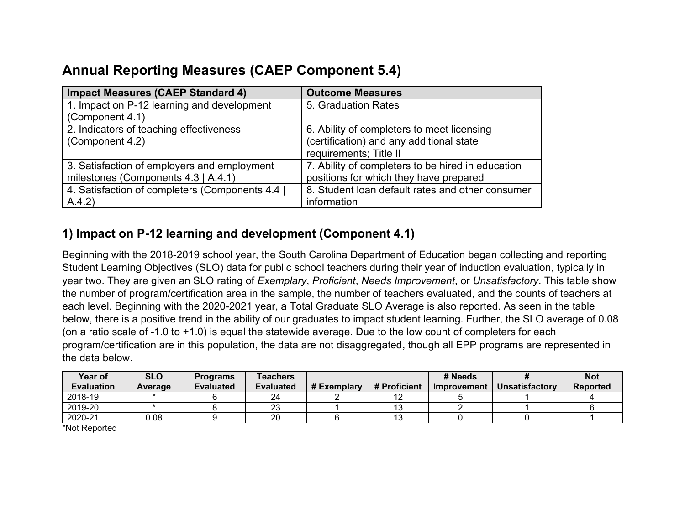# **Annual Reporting Measures (CAEP Component 5.4)**

| <b>Impact Measures (CAEP Standard 4)</b>      | <b>Outcome Measures</b>                           |
|-----------------------------------------------|---------------------------------------------------|
| 1. Impact on P-12 learning and development    | 5. Graduation Rates                               |
| (Component 4.1)                               |                                                   |
| 2. Indicators of teaching effectiveness       | 6. Ability of completers to meet licensing        |
| (Component 4.2)                               | (certification) and any additional state          |
|                                               | requirements; Title II                            |
| 3. Satisfaction of employers and employment   | 7. Ability of completers to be hired in education |
| milestones (Components 4.3   A.4.1)           | positions for which they have prepared            |
| 4. Satisfaction of completers (Components 4.4 | 8. Student loan default rates and other consumer  |
| A.4.2)                                        | information                                       |

## **1) Impact on P-12 learning and development (Component 4.1)**

Beginning with the 2018-2019 school year, the South Carolina Department of Education began collecting and reporting Student Learning Objectives (SLO) data for public school teachers during their year of induction evaluation, typically in year two. They are given an SLO rating of *Exemplary*, *Proficient*, *Needs Improvement*, or *Unsatisfactory*. This table show the number of program/certification area in the sample, the number of teachers evaluated, and the counts of teachers at each level. Beginning with the 2020-2021 year, a Total Graduate SLO Average is also reported. As seen in the table below, there is a positive trend in the ability of our graduates to impact student learning. Further, the SLO average of 0.08 (on a ratio scale of -1.0 to +1.0) is equal the statewide average. Due to the low count of completers for each program/certification are in this population, the data are not disaggregated, though all EPP programs are represented in the data below.

| Year of           | <b>SLO</b> | <b>Programs</b>  | <b>Teachers</b>  |             |              | # Needs     |                | <b>Not</b>      |
|-------------------|------------|------------------|------------------|-------------|--------------|-------------|----------------|-----------------|
| <b>Evaluation</b> | Average    | <b>Evaluated</b> | <b>Evaluated</b> | # Exemplary | # Proficient | Improvement | Unsatisfactory | <b>Reported</b> |
| 2018-19           |            |                  | 24               |             |              |             |                |                 |
| 2019-20           |            |                  | 23               |             |              |             |                |                 |
| 2020-21           | 0.08       |                  | 20               |             |              |             |                |                 |

\*Not Reported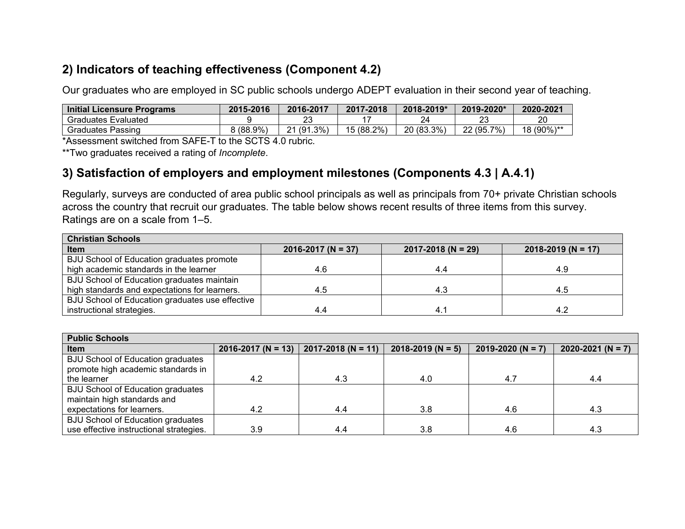## **2) Indicators of teaching effectiveness (Component 4.2)**

Our graduates who are employed in SC public schools undergo ADEPT evaluation in their second year of teaching.

| <b>Initial Licensure Programs</b> | 2015-2016   | 2016-2017  | 2017-2018  | 2018-2019* | 2019-2020*       | 2020-2021  |
|-----------------------------------|-------------|------------|------------|------------|------------------|------------|
| <b>Graduates Evaluated</b>        |             | 23         |            |            | nn               | 20         |
| Graduates Passing                 | $8(88.9\%)$ | 21 (91.3%) | 15 (88.2%) | 20 (83.3%) | 7%.<br>22 (95.7) | 18 (90%)** |

\*Assessment switched from SAFE-T to the SCTS 4.0 rubric.

\*\*Two graduates received a rating of *Incomplete*.

### **3) Satisfaction of employers and employment milestones (Components 4.3 | A.4.1)**

Regularly, surveys are conducted of area public school principals as well as principals from 70+ private Christian schools across the country that recruit our graduates. The table below shows recent results of three items from this survey. Ratings are on a scale from 1–5.

| <b>Christian Schools</b>                        |                        |                        |                        |
|-------------------------------------------------|------------------------|------------------------|------------------------|
| Item                                            | $2016 - 2017$ (N = 37) | $2017 - 2018$ (N = 29) | $2018 - 2019$ (N = 17) |
| BJU School of Education graduates promote       |                        |                        |                        |
| high academic standards in the learner          | 4.6                    | 4.4                    | 4.9                    |
| BJU School of Education graduates maintain      |                        |                        |                        |
| high standards and expectations for learners.   | 4.5                    | 4.3                    | 4.5                    |
| BJU School of Education graduates use effective |                        |                        |                        |
| instructional strategies.                       | 4.4                    | 4.1                    | 4.2                    |

| <b>Public Schools</b>                                                   |                        |                        |                       |                       |                       |  |  |  |  |  |
|-------------------------------------------------------------------------|------------------------|------------------------|-----------------------|-----------------------|-----------------------|--|--|--|--|--|
| <b>Item</b>                                                             | $2016 - 2017$ (N = 13) | $2017 - 2018$ (N = 11) | $2018 - 2019$ (N = 5) | $2019 - 2020$ (N = 7) | $2020 - 2021$ (N = 7) |  |  |  |  |  |
| BJU School of Education graduates<br>promote high academic standards in |                        |                        |                       |                       |                       |  |  |  |  |  |
| the learner                                                             | 4.2                    | 4.3                    | 4.0                   | 4.7                   | 4.4                   |  |  |  |  |  |
| BJU School of Education graduates                                       |                        |                        |                       |                       |                       |  |  |  |  |  |
| maintain high standards and                                             |                        |                        |                       |                       |                       |  |  |  |  |  |
| expectations for learners.                                              | 4.2                    | 4.4                    | 3.8                   | 4.6                   | 4.3                   |  |  |  |  |  |
| BJU School of Education graduates                                       |                        |                        |                       |                       |                       |  |  |  |  |  |
| use effective instructional strategies.                                 | 3.9                    | 4.4                    | 3.8                   | 4.6                   | 4.3                   |  |  |  |  |  |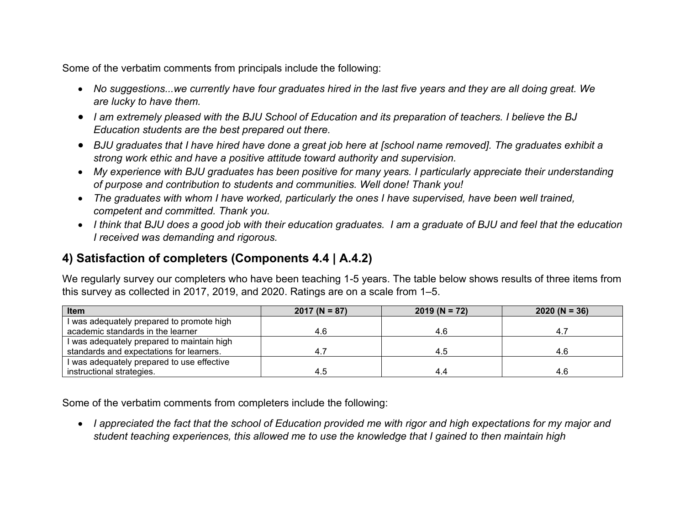Some of the verbatim comments from principals include the following:

- *No suggestions...we currently have four graduates hired in the last five years and they are all doing great. We are lucky to have them.*
- *I am extremely pleased with the BJU School of Education and its preparation of teachers. I believe the BJ Education students are the best prepared out there.*
- *BJU graduates that I have hired have done a great job here at [school name removed]. The graduates exhibit a strong work ethic and have a positive attitude toward authority and supervision.*
- *My experience with BJU graduates has been positive for many years. I particularly appreciate their understanding of purpose and contribution to students and communities. Well done! Thank you!*
- *The graduates with whom I have worked, particularly the ones I have supervised, have been well trained, competent and committed. Thank you.*
- *I think that BJU does a good job with their education graduates. I am a graduate of BJU and feel that the education I received was demanding and rigorous.*

## **4) Satisfaction of completers (Components 4.4 | A.4.2)**

We regularly survey our completers who have been teaching 1-5 years. The table below shows results of three items from this survey as collected in 2017, 2019, and 2020. Ratings are on a scale from 1–5.

| Item                                       | $2017 (N = 87)$ | $2019 (N = 72)$ | $2020 (N = 36)$ |
|--------------------------------------------|-----------------|-----------------|-----------------|
| I was adequately prepared to promote high  |                 |                 |                 |
| academic standards in the learner          | 4.6             | 4.6             |                 |
| I was adequately prepared to maintain high |                 |                 |                 |
| standards and expectations for learners.   |                 | -4.5            | 4.E             |
| I was adequately prepared to use effective |                 |                 |                 |
| instructional strategies.                  | 4.5             | 4.4             | 4.F             |

Some of the verbatim comments from completers include the following:

• *I appreciated the fact that the school of Education provided me with rigor and high expectations for my major and student teaching experiences, this allowed me to use the knowledge that I gained to then maintain high*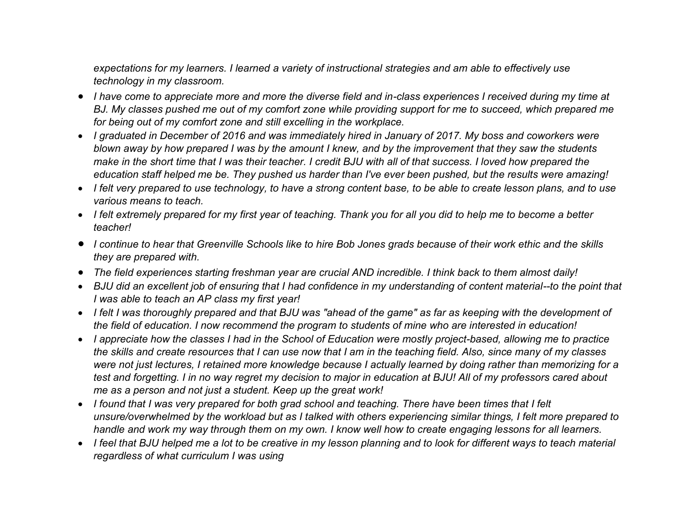*expectations for my learners. I learned a variety of instructional strategies and am able to effectively use technology in my classroom.*

- *I have come to appreciate more and more the diverse field and in-class experiences I received during my time at BJ. My classes pushed me out of my comfort zone while providing support for me to succeed, which prepared me for being out of my comfort zone and still excelling in the workplace.*
- *I graduated in December of 2016 and was immediately hired in January of 2017. My boss and coworkers were blown away by how prepared I was by the amount I knew, and by the improvement that they saw the students make in the short time that I was their teacher. I credit BJU with all of that success. I loved how prepared the education staff helped me be. They pushed us harder than I've ever been pushed, but the results were amazing!*
- *I felt very prepared to use technology, to have a strong content base, to be able to create lesson plans, and to use various means to teach.*
- *I felt extremely prepared for my first year of teaching. Thank you for all you did to help me to become a better teacher!*
- *I continue to hear that Greenville Schools like to hire Bob Jones grads because of their work ethic and the skills they are prepared with.*
- *The field experiences starting freshman year are crucial AND incredible. I think back to them almost daily!*
- *BJU did an excellent job of ensuring that I had confidence in my understanding of content material--to the point that I was able to teach an AP class my first year!*
- *I felt I was thoroughly prepared and that BJU was "ahead of the game" as far as keeping with the development of the field of education. I now recommend the program to students of mine who are interested in education!*
- *I appreciate how the classes I had in the School of Education were mostly project-based, allowing me to practice the skills and create resources that I can use now that I am in the teaching field. Also, since many of my classes were not just lectures, I retained more knowledge because I actually learned by doing rather than memorizing for a test and forgetting. I in no way regret my decision to major in education at BJU! All of my professors cared about me as a person and not just a student. Keep up the great work!*
- *I found that I was very prepared for both grad school and teaching. There have been times that I felt unsure/overwhelmed by the workload but as I talked with others experiencing similar things, I felt more prepared to handle and work my way through them on my own. I know well how to create engaging lessons for all learners.*
- *I feel that BJU helped me a lot to be creative in my lesson planning and to look for different ways to teach material regardless of what curriculum I was using*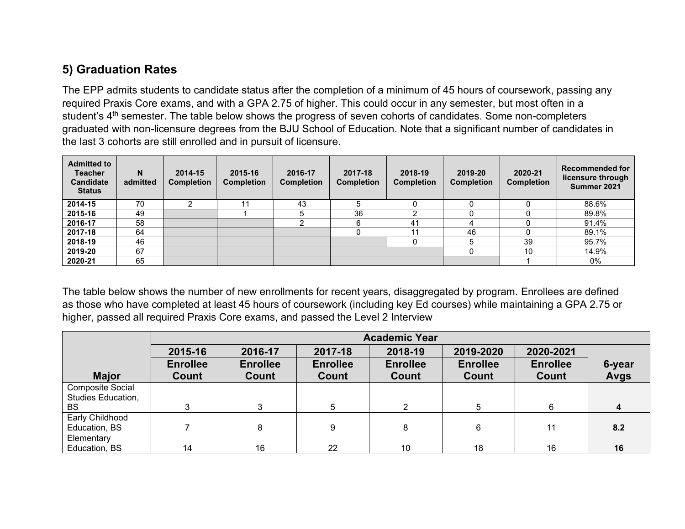## **5) Graduation Rates**

The EPP admits students to candidate status after the completion of a minimum of 45 hours of coursework, passing any required Praxis Core exams, and with a GPA 2.75 of higher. This could occur in any semester, but most often in a student's 4<sup>th</sup> semester. The table below shows the progress of seven cohorts of candidates. Some non-completers graduated with non-licensure degrees from the BJU School of Education. Note that a significant number of candidates in the last 3 cohorts are still enrolled and in pursuit of licensure.

| <b>Admitted to</b><br><b>Teacher</b><br><b>Candidate</b><br><b>Status</b> | N<br>admitted | 2014-15<br><b>Completion</b> | 2015-16<br><b>Completion</b> | 2016-17<br><b>Completion</b> | 2017-18<br><b>Completion</b> | 2018-19<br><b>Completion</b> | 2019-20<br><b>Completion</b> | 2020-21<br><b>Completion</b> | <b>Recommended for</b><br>licensure through<br>Summer 2021 |
|---------------------------------------------------------------------------|---------------|------------------------------|------------------------------|------------------------------|------------------------------|------------------------------|------------------------------|------------------------------|------------------------------------------------------------|
| 2014-15                                                                   | 70            |                              |                              | 43                           |                              |                              |                              |                              | 88.6%                                                      |
| 2015-16                                                                   | 49            |                              |                              |                              | 36                           |                              |                              |                              | 89.8%                                                      |
| 2016-17                                                                   | 58            |                              |                              |                              | ี                            | 41                           |                              |                              | 91.4%                                                      |
| 2017-18                                                                   | 64            |                              |                              |                              |                              | 11                           | 46                           |                              | 89.1%                                                      |
| 2018-19                                                                   | 46            |                              |                              |                              |                              |                              |                              | 39                           | 95.7%                                                      |
| 2019-20                                                                   | 67            |                              |                              |                              |                              |                              |                              | 10                           | 14.9%                                                      |
| 2020-21                                                                   | 65            |                              |                              |                              |                              |                              |                              |                              | 0%                                                         |

The table below shows the number of new enrollments for recent years, disaggregated by program. Enrollees are defined as those who have completed at least 45 hours of coursework (including key Ed courses) while maintaining a GPA 2.75 or higher, passed all required Praxis Core exams, and passed the Level 2 Interview

|                         |                 | <b>Academic Year</b> |                 |                 |                 |                 |             |  |  |  |  |  |
|-------------------------|-----------------|----------------------|-----------------|-----------------|-----------------|-----------------|-------------|--|--|--|--|--|
|                         | 2015-16         | 2016-17              | 2017-18         | 2018-19         | 2019-2020       | 2020-2021       |             |  |  |  |  |  |
|                         | <b>Enrollee</b> | <b>Enrollee</b>      | <b>Enrollee</b> | <b>Enrollee</b> | <b>Enrollee</b> | <b>Enrollee</b> | 6-year      |  |  |  |  |  |
| <b>Major</b>            | Count           | Count                | Count           | Count           | Count           | Count           | <b>Avgs</b> |  |  |  |  |  |
| <b>Composite Social</b> |                 |                      |                 |                 |                 |                 |             |  |  |  |  |  |
| Studies Education,      |                 |                      |                 |                 |                 |                 |             |  |  |  |  |  |
| <b>BS</b>               |                 | ົ                    | 5               | っ               | 5               | 6               | 4           |  |  |  |  |  |
| Early Childhood         |                 |                      |                 |                 |                 |                 |             |  |  |  |  |  |
| Education, BS           |                 | 8                    | 9               | 8               | 6               | 11              | 8.2         |  |  |  |  |  |
| Elementary              |                 |                      |                 |                 |                 |                 |             |  |  |  |  |  |
| Education, BS           | 14              | 16                   | 22              | 10              | 18              | 16              | 16          |  |  |  |  |  |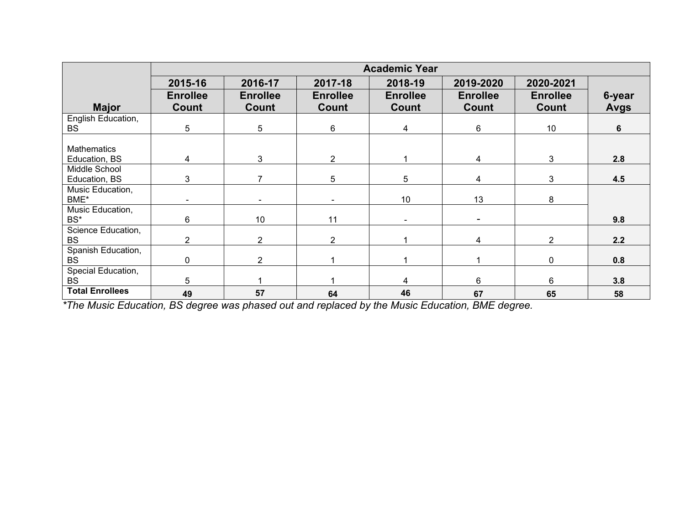|                                     | <b>Academic Year</b> |                 |                 |                 |                 |                 |             |  |  |
|-------------------------------------|----------------------|-----------------|-----------------|-----------------|-----------------|-----------------|-------------|--|--|
|                                     | 2015-16              | 2016-17         | 2017-18         | 2018-19         | 2019-2020       | 2020-2021       |             |  |  |
|                                     | <b>Enrollee</b>      | <b>Enrollee</b> | <b>Enrollee</b> | <b>Enrollee</b> | <b>Enrollee</b> | <b>Enrollee</b> | 6-year      |  |  |
| <b>Major</b>                        | Count                | Count           | Count           | Count           | Count           | Count           | <b>Avgs</b> |  |  |
| English Education,                  |                      |                 |                 |                 |                 |                 |             |  |  |
| <b>BS</b>                           | 5                    | 5               | $6\phantom{.}6$ | 4               | $6\phantom{.}6$ | 10              | 6           |  |  |
|                                     |                      |                 |                 |                 |                 |                 |             |  |  |
| <b>Mathematics</b><br>Education, BS | 4                    | 3               | $\overline{2}$  |                 | 4               | 3               | 2.8         |  |  |
| Middle School                       |                      |                 |                 |                 |                 |                 |             |  |  |
| Education, BS                       | 3                    | 7               | 5               | 5               | $\overline{4}$  | 3               | 4.5         |  |  |
| Music Education,                    |                      |                 |                 |                 |                 |                 |             |  |  |
| BME*                                |                      |                 |                 | 10              | 13              | 8               |             |  |  |
| Music Education,                    |                      |                 |                 |                 |                 |                 |             |  |  |
| BS*                                 | 6                    | 10 <sup>°</sup> | 11              |                 |                 |                 | 9.8         |  |  |
| Science Education,                  |                      |                 |                 |                 |                 |                 |             |  |  |
| <b>BS</b>                           | $\overline{2}$       | $\overline{2}$  | $\overline{2}$  |                 | $\overline{4}$  | $\overline{2}$  | 2.2         |  |  |
| Spanish Education,                  | $\Omega$             | $\overline{2}$  |                 |                 |                 |                 | 0.8         |  |  |
| <b>BS</b>                           |                      |                 |                 |                 |                 | 0               |             |  |  |
| Special Education,                  |                      |                 |                 |                 | 6               |                 |             |  |  |
| <b>BS</b>                           | 5                    |                 |                 | 4               |                 | 6               | 3.8         |  |  |
| <b>Total Enrollees</b>              | 49                   | 57              | 64              | 46              | 67              | 65              | 58          |  |  |

*\*The Music Education, BS degree was phased out and replaced by the Music Education, BME degree.*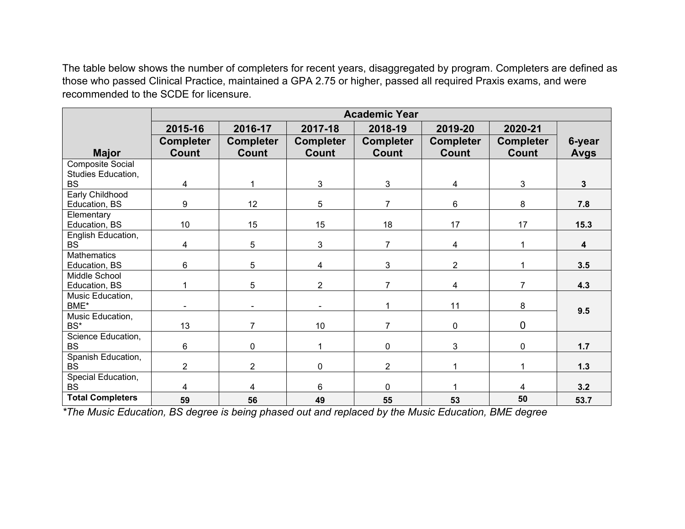The table below shows the number of completers for recent years, disaggregated by program. Completers are defined as those who passed Clinical Practice, maintained a GPA 2.75 or higher, passed all required Praxis exams, and were recommended to the SCDE for licensure.

|                         |                  |                  |                  | <b>Academic Year</b> |                  |                  |              |
|-------------------------|------------------|------------------|------------------|----------------------|------------------|------------------|--------------|
|                         | 2015-16          | 2016-17          | 2017-18          | 2018-19              | 2019-20          | 2020-21          |              |
|                         | <b>Completer</b> | <b>Completer</b> | <b>Completer</b> | <b>Completer</b>     | <b>Completer</b> | <b>Completer</b> | 6-year       |
| <b>Major</b>            | Count            | Count            | Count            | <b>Count</b>         | <b>Count</b>     | <b>Count</b>     | <b>Avgs</b>  |
| <b>Composite Social</b> |                  |                  |                  |                      |                  |                  |              |
| Studies Education,      |                  |                  |                  |                      |                  |                  |              |
| <b>BS</b>               | 4                |                  | 3                | 3                    | 4                | 3                | $\mathbf{3}$ |
| <b>Early Childhood</b>  |                  |                  |                  |                      |                  |                  |              |
| Education, BS           | 9                | 12 <sup>2</sup>  | 5                | $\overline{7}$       | 6                | 8                | 7.8          |
| Elementary              |                  |                  |                  |                      |                  |                  |              |
| Education, BS           | 10               | 15               | 15               | 18                   | 17               | 17               | 15.3         |
| English Education,      |                  |                  |                  |                      |                  |                  |              |
| <b>BS</b>               | 4                | 5                | 3                | $\overline{7}$       | 4                |                  | 4            |
| Mathematics             |                  |                  |                  |                      |                  |                  |              |
| Education, BS           | 6                | 5                | 4                | $\mathbf{3}$         | $\overline{2}$   |                  | 3.5          |
| Middle School           |                  |                  |                  |                      |                  |                  |              |
| Education, BS           | 1                | 5                | $\overline{2}$   | $\overline{7}$       | $\overline{4}$   | $\overline{7}$   | 4.3          |
| Music Education,        |                  |                  |                  |                      |                  |                  |              |
| BME*                    |                  |                  |                  | 1                    | 11               | 8                | 9.5          |
| Music Education,        |                  |                  |                  |                      |                  |                  |              |
| BS*                     | 13               | $\overline{7}$   | 10               | $\overline{7}$       | 0                | 0                |              |
| Science Education,      |                  |                  |                  |                      |                  |                  |              |
| <b>BS</b>               | 6                | $\mathbf 0$      | 1                | $\mathbf 0$          | 3                | 0                | $1.7$        |
| Spanish Education,      |                  |                  |                  |                      |                  |                  |              |
| <b>BS</b>               | $\overline{2}$   | $\overline{2}$   | $\mathbf 0$      | $\overline{2}$       |                  |                  | 1.3          |
| Special Education,      |                  |                  |                  |                      |                  |                  |              |
| <b>BS</b>               | 4                | 4                | 6                | $\mathbf 0$          |                  | 4                | 3.2          |
| <b>Total Completers</b> | 59               | 56               | 49               | 55                   | 53               | 50               | 53.7         |

*\*The Music Education, BS degree is being phased out and replaced by the Music Education, BME degree*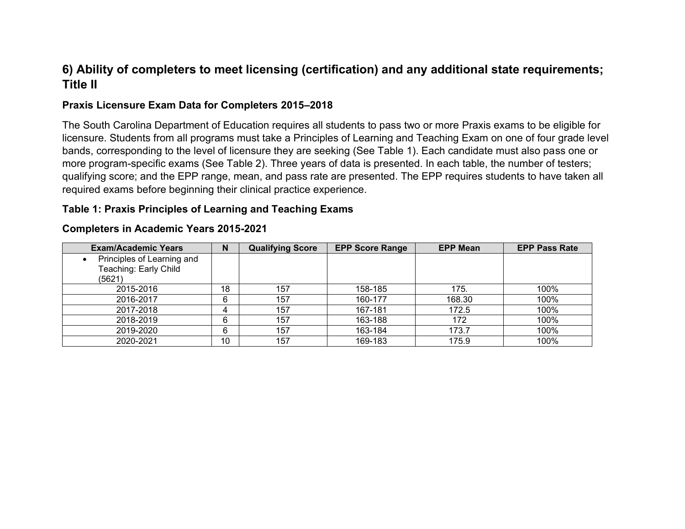## **6) Ability of completers to meet licensing (certification) and any additional state requirements; Title II**

#### **Praxis Licensure Exam Data for Completers 2015–2018**

The South Carolina Department of Education requires all students to pass two or more Praxis exams to be eligible for licensure. Students from all programs must take a Principles of Learning and Teaching Exam on one of four grade level bands, corresponding to the level of licensure they are seeking (See Table 1). Each candidate must also pass one or more program-specific exams (See Table 2). Three years of data is presented. In each table, the number of testers; qualifying score; and the EPP range, mean, and pass rate are presented. The EPP requires students to have taken all required exams before beginning their clinical practice experience.

#### **Table 1: Praxis Principles of Learning and Teaching Exams**

| <b>Exam/Academic Years</b> | N  | <b>Qualifying Score</b> | <b>EPP Score Range</b> | <b>EPP Mean</b> | <b>EPP Pass Rate</b> |
|----------------------------|----|-------------------------|------------------------|-----------------|----------------------|
| Principles of Learning and |    |                         |                        |                 |                      |
| Teaching: Early Child      |    |                         |                        |                 |                      |
| (5621)                     |    |                         |                        |                 |                      |
| 2015-2016                  | 18 | 157                     | 158-185                | 175.            | 100%                 |
| 2016-2017                  | 6  | 157                     | 160-177                | 168.30          | 100%                 |
| 2017-2018                  |    | 157                     | 167-181                | 172.5           | 100%                 |
| 2018-2019                  | 6  | 157                     | 163-188                | 172             | 100%                 |
| 2019-2020                  | 6  | 157                     | 163-184                | 173.7           | 100%                 |
| 2020-2021                  | 10 | 157                     | 169-183                | 175.9           | 100%                 |

#### **Completers in Academic Years 2015-2021**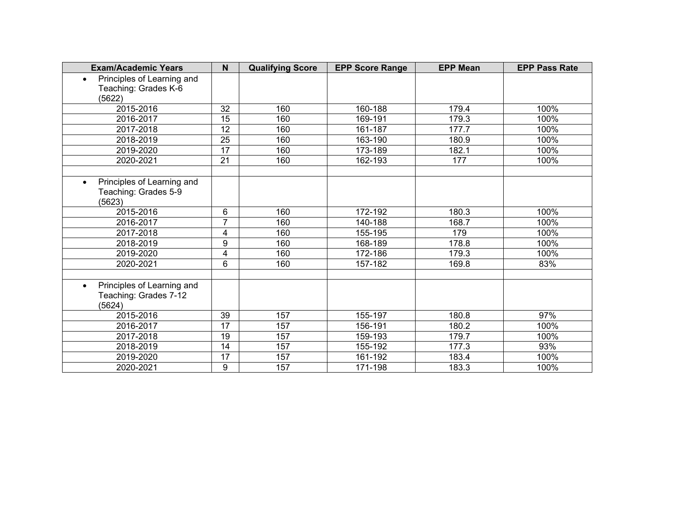| <b>Exam/Academic Years</b>                                                 | N               | <b>Qualifying Score</b> | <b>EPP Score Range</b> | <b>EPP Mean</b> | <b>EPP Pass Rate</b> |
|----------------------------------------------------------------------------|-----------------|-------------------------|------------------------|-----------------|----------------------|
| Principles of Learning and<br>$\bullet$<br>Teaching: Grades K-6<br>(5622)  |                 |                         |                        |                 |                      |
| 2015-2016                                                                  | 32              | 160                     | 160-188                | 179.4           | 100%                 |
| 2016-2017                                                                  | $\overline{15}$ | 160                     | 169-191                | 179.3           | 100%                 |
| 2017-2018                                                                  | 12              | 160                     | 161-187                | 177.7           | 100%                 |
| 2018-2019                                                                  | $\overline{25}$ | 160                     | 163-190                | 180.9           | 100%                 |
| 2019-2020                                                                  | 17              | 160                     | 173-189                | 182.1           | 100%                 |
| 2020-2021                                                                  | $\overline{21}$ | 160                     | 162-193                | 177             | 100%                 |
|                                                                            |                 |                         |                        |                 |                      |
| Principles of Learning and<br>Teaching: Grades 5-9<br>(5623)               |                 |                         |                        |                 |                      |
| 2015-2016                                                                  | 6               | 160                     | 172-192                | 180.3           | 100%                 |
| 2016-2017                                                                  | 7               | 160                     | 140-188                | 168.7           | 100%                 |
| 2017-2018                                                                  | 4               | 160                     | 155-195                | 179             | 100%                 |
| 2018-2019                                                                  | 9               | 160                     | 168-189                | 178.8           | 100%                 |
| 2019-2020                                                                  | $\overline{4}$  | 160                     | 172-186                | 179.3           | 100%                 |
| 2020-2021                                                                  | 6               | 160                     | 157-182                | 169.8           | 83%                  |
|                                                                            |                 |                         |                        |                 |                      |
| Principles of Learning and<br>$\bullet$<br>Teaching: Grades 7-12<br>(5624) |                 |                         |                        |                 |                      |
| 2015-2016                                                                  | 39              | 157                     | 155-197                | 180.8           | 97%                  |
| 2016-2017                                                                  | 17              | 157                     | 156-191                | 180.2           | 100%                 |
| 2017-2018                                                                  | 19              | 157                     | 159-193                | 179.7           | 100%                 |
| 2018-2019                                                                  | 14              | 157                     | 155-192                | 177.3           | 93%                  |
| 2019-2020                                                                  | 17              | 157                     | 161-192                | 183.4           | 100%                 |
| 2020-2021                                                                  | 9               | 157                     | 171-198                | 183.3           | 100%                 |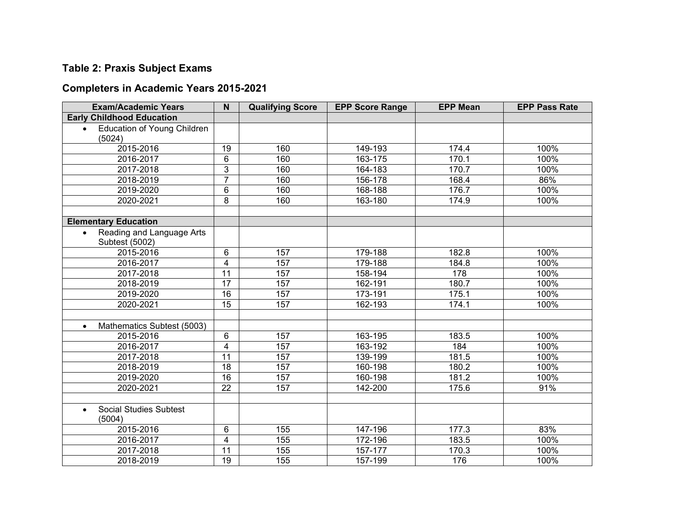## **Table 2: Praxis Subject Exams**

## **Completers in Academic Years 2015-2021**

| <b>Exam/Academic Years</b>                      | N                       | <b>Qualifying Score</b> | <b>EPP Score Range</b> | <b>EPP Mean</b> | <b>EPP Pass Rate</b> |
|-------------------------------------------------|-------------------------|-------------------------|------------------------|-----------------|----------------------|
| <b>Early Childhood Education</b>                |                         |                         |                        |                 |                      |
| <b>Education of Young Children</b><br>$\bullet$ |                         |                         |                        |                 |                      |
| (5024)                                          |                         |                         |                        |                 |                      |
| 2015-2016                                       | 19                      | 160                     | 149-193                | 174.4           | 100%                 |
| 2016-2017                                       | 6                       | 160                     | 163-175                | 170.1           | 100%                 |
| 2017-2018                                       | 3                       | 160                     | 164-183                | 170.7           | 100%                 |
| 2018-2019                                       | $\overline{7}$          | 160                     | 156-178                | 168.4           | 86%                  |
| 2019-2020                                       | 6                       | 160                     | 168-188                | 176.7           | 100%                 |
| 2020-2021                                       | 8                       | 160                     | 163-180                | 174.9           | 100%                 |
|                                                 |                         |                         |                        |                 |                      |
| <b>Elementary Education</b>                     |                         |                         |                        |                 |                      |
| Reading and Language Arts                       |                         |                         |                        |                 |                      |
| Subtest (5002)                                  |                         |                         |                        |                 |                      |
| 2015-2016                                       | 6                       | 157                     | 179-188                | 182.8           | 100%                 |
| 2016-2017                                       | $\overline{4}$          | 157                     | 179-188                | 184.8           | 100%                 |
| 2017-2018                                       | $\overline{11}$         | 157                     | 158-194                | 178             | 100%                 |
| 2018-2019                                       | $\overline{17}$         | 157                     | 162-191                | 180.7           | 100%                 |
| 2019-2020                                       | 16                      | 157                     | 173-191                | 175.1           | 100%                 |
| 2020-2021                                       | $\overline{15}$         | 157                     | 162-193                | 174.1           | 100%                 |
|                                                 |                         |                         |                        |                 |                      |
| Mathematics Subtest (5003)<br>$\bullet$         |                         |                         |                        |                 |                      |
| 2015-2016                                       | 6                       | 157                     | 163-195                | 183.5           | 100%                 |
| 2016-2017                                       | $\overline{4}$          | 157                     | 163-192                | 184             | 100%                 |
| 2017-2018                                       | 11                      | 157                     | 139-199                | 181.5           | 100%                 |
| 2018-2019                                       | 18                      | 157                     | 160-198                | 180.2           | 100%                 |
| 2019-2020                                       | 16                      | 157                     | 160-198                | 181.2           | 100%                 |
| 2020-2021                                       | $\overline{22}$         | 157                     | 142-200                | 175.6           | 91%                  |
|                                                 |                         |                         |                        |                 |                      |
| <b>Social Studies Subtest</b><br>$\bullet$      |                         |                         |                        |                 |                      |
| (5004)                                          |                         |                         |                        |                 |                      |
| 2015-2016                                       | 6                       | 155                     | 147-196                | 177.3           | 83%                  |
| 2016-2017                                       | $\overline{\mathbf{4}}$ | 155                     | 172-196                | 183.5           | 100%                 |
| 2017-2018                                       | 11                      | 155                     | 157-177                | 170.3           | 100%                 |
| 2018-2019                                       | 19                      | 155                     | 157-199                | 176             | 100%                 |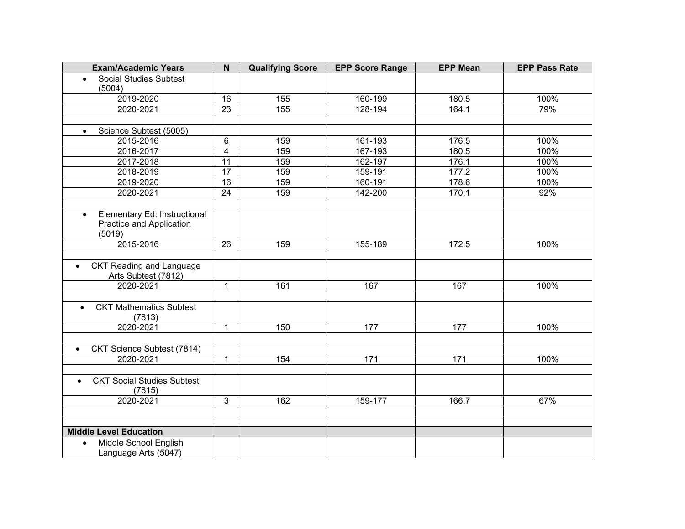| <b>Exam/Academic Years</b>                                                      | N               | <b>Qualifying Score</b> | <b>EPP Score Range</b> | <b>EPP Mean</b> | <b>EPP Pass Rate</b> |
|---------------------------------------------------------------------------------|-----------------|-------------------------|------------------------|-----------------|----------------------|
| <b>Social Studies Subtest</b><br>$\bullet$                                      |                 |                         |                        |                 |                      |
| (5004)                                                                          |                 |                         |                        |                 |                      |
| 2019-2020                                                                       | 16              | 155                     | 160-199                | 180.5           | 100%                 |
| 2020-2021                                                                       | $\overline{23}$ | 155                     | 128-194                | 164.1           | 79%                  |
|                                                                                 |                 |                         |                        |                 |                      |
| Science Subtest (5005)<br>$\bullet$                                             |                 |                         |                        |                 |                      |
| 2015-2016                                                                       | 6               | 159                     | 161-193                | 176.5           | 100%                 |
| 2016-2017                                                                       | $\overline{4}$  | 159                     | 167-193                | 180.5           | 100%                 |
| 2017-2018                                                                       | 11              | 159                     | 162-197                | 176.1           | 100%                 |
| 2018-2019                                                                       | $\overline{17}$ | 159                     | 159-191                | 177.2           | 100%                 |
| 2019-2020                                                                       | $\overline{16}$ | 159                     | 160-191                | 178.6           | 100%                 |
| 2020-2021                                                                       | 24              | 159                     | 142-200                | 170.1           | 92%                  |
|                                                                                 |                 |                         |                        |                 |                      |
| Elementary Ed: Instructional<br>$\bullet$<br>Practice and Application<br>(5019) |                 |                         |                        |                 |                      |
| 2015-2016                                                                       | 26              | 159                     | 155-189                | 172.5           | 100%                 |
|                                                                                 |                 |                         |                        |                 |                      |
| <b>CKT Reading and Language</b><br>$\bullet$<br>Arts Subtest (7812)             |                 |                         |                        |                 |                      |
| 2020-2021                                                                       | 1               | 161                     | 167                    | 167             | 100%                 |
|                                                                                 |                 |                         |                        |                 |                      |
| <b>CKT Mathematics Subtest</b><br>$\bullet$<br>(7813)                           |                 |                         |                        |                 |                      |
| 2020-2021                                                                       | $\mathbf{1}$    | 150                     | 177                    | 177             | 100%                 |
|                                                                                 |                 |                         |                        |                 |                      |
| CKT Science Subtest (7814)<br>$\bullet$                                         |                 |                         |                        |                 |                      |
| 2020-2021                                                                       | $\mathbf 1$     | 154                     | 171                    | 171             | 100%                 |
|                                                                                 |                 |                         |                        |                 |                      |
| <b>CKT Social Studies Subtest</b><br>$\bullet$<br>(7815)                        |                 |                         |                        |                 |                      |
| 2020-2021                                                                       | $\overline{3}$  | 162                     | 159-177                | 166.7           | 67%                  |
|                                                                                 |                 |                         |                        |                 |                      |
|                                                                                 |                 |                         |                        |                 |                      |
| <b>Middle Level Education</b>                                                   |                 |                         |                        |                 |                      |
| Middle School English<br>$\bullet$<br>Language Arts (5047)                      |                 |                         |                        |                 |                      |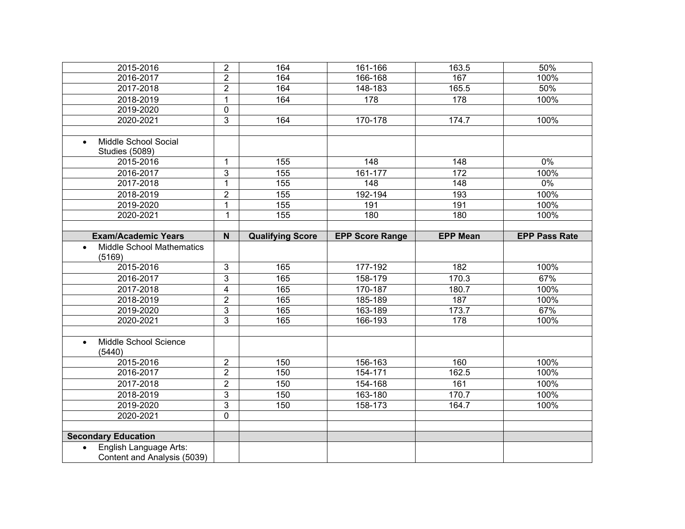| 2015-2016                                                          | $\overline{2}$          | 164                     | 161-166                | 163.5            | 50%                  |
|--------------------------------------------------------------------|-------------------------|-------------------------|------------------------|------------------|----------------------|
| 2016-2017                                                          | $\overline{2}$          | 164                     | 166-168                | 167              | 100%                 |
| 2017-2018                                                          | $\overline{2}$          | 164                     | 148-183                | 165.5            | 50%                  |
| 2018-2019                                                          | $\mathbf{1}$            | 164                     | 178                    | 178              | 100%                 |
| 2019-2020                                                          | $\overline{0}$          |                         |                        |                  |                      |
| 2020-2021                                                          | $\overline{3}$          | 164                     | 170-178                | 174.7            | 100%                 |
|                                                                    |                         |                         |                        |                  |                      |
| Middle School Social<br>$\bullet$                                  |                         |                         |                        |                  |                      |
| <b>Studies (5089)</b>                                              |                         |                         |                        |                  |                      |
| 2015-2016                                                          | $\mathbf{1}$            | 155                     | $\overline{148}$       | $\overline{148}$ | $0\%$                |
| 2016-2017                                                          | 3                       | 155                     | 161-177                | 172              | 100%                 |
| 2017-2018                                                          | $\mathbf{1}$            | 155                     | 148                    | 148              | $0\%$                |
| 2018-2019                                                          | $\overline{2}$          | 155                     | 192-194                | 193              | 100%                 |
| 2019-2020                                                          | $\mathbf{1}$            | 155                     | 191                    | 191              | 100%                 |
| 2020-2021                                                          | $\mathbf 1$             | 155                     | 180                    | 180              | 100%                 |
|                                                                    |                         |                         |                        |                  |                      |
| <b>Exam/Academic Years</b>                                         | $\mathsf{N}$            | <b>Qualifying Score</b> | <b>EPP Score Range</b> | <b>EPP Mean</b>  | <b>EPP Pass Rate</b> |
| <b>Middle School Mathematics</b><br>$\bullet$<br>(5169)            |                         |                         |                        |                  |                      |
| 2015-2016                                                          | $\mathbf{3}$            | 165                     | 177-192                | 182              | 100%                 |
| 2016-2017                                                          | 3                       | 165                     | 158-179                | 170.3            | 67%                  |
| 2017-2018                                                          | $\overline{\mathbf{4}}$ | 165                     | 170-187                | 180.7            | 100%                 |
| 2018-2019                                                          | $\overline{2}$          | 165                     | 185-189                | 187              | 100%                 |
| 2019-2020                                                          | 3                       | 165                     | 163-189                | 173.7            | 67%                  |
| 2020-2021                                                          | $\overline{3}$          | 165                     | 166-193                | 178              | 100%                 |
|                                                                    |                         |                         |                        |                  |                      |
| Middle School Science<br>$\bullet$<br>(5440)                       |                         |                         |                        |                  |                      |
| 2015-2016                                                          | $\overline{2}$          | 150                     | 156-163                | 160              | 100%                 |
| 2016-2017                                                          | $\overline{2}$          | 150                     | 154-171                | 162.5            | 100%                 |
| 2017-2018                                                          | $\overline{2}$          | 150                     | 154-168                | 161              | 100%                 |
| 2018-2019                                                          | $\overline{3}$          | 150                     | 163-180                | 170.7            | 100%                 |
| 2019-2020                                                          | $\overline{3}$          | 150                     | 158-173                | 164.7            | 100%                 |
| 2020-2021                                                          | $\overline{0}$          |                         |                        |                  |                      |
|                                                                    |                         |                         |                        |                  |                      |
| <b>Secondary Education</b>                                         |                         |                         |                        |                  |                      |
| English Language Arts:<br>$\bullet$<br>Content and Analysis (5039) |                         |                         |                        |                  |                      |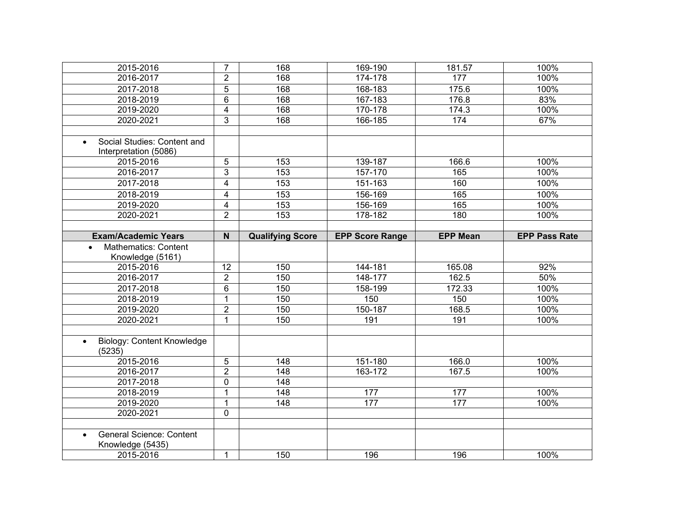| 2015-2016                                      | $\overline{7}$  | 168                     | 169-190                | 181.57          | 100%                 |
|------------------------------------------------|-----------------|-------------------------|------------------------|-----------------|----------------------|
| 2016-2017                                      | $\overline{2}$  | 168                     | 174-178                | 177             | 100%                 |
| 2017-2018                                      | $\overline{5}$  | 168                     | 168-183                | 175.6           | 100%                 |
| 2018-2019                                      | $\overline{6}$  | 168                     | 167-183                | 176.8           | 83%                  |
| 2019-2020                                      | $\overline{4}$  | $\overline{168}$        | 170-178                | 174.3           | 100%                 |
| 2020-2021                                      | $\overline{3}$  | 168                     | 166-185                | 174             | 67%                  |
|                                                |                 |                         |                        |                 |                      |
| Social Studies: Content and                    |                 |                         |                        |                 |                      |
| Interpretation (5086)                          |                 |                         |                        |                 |                      |
| 2015-2016                                      | 5               | 153                     | $139 - 187$            | 166.6           | 100%                 |
| 2016-2017                                      | $\overline{3}$  | 153                     | 157-170                | 165             | 100%                 |
| 2017-2018                                      | $\overline{4}$  | 153                     | 151-163                | 160             | 100%                 |
| 2018-2019                                      | $\overline{4}$  | 153                     | 156-169                | 165             | 100%                 |
| 2019-2020                                      | $\overline{4}$  | 153                     | 156-169                | 165             | 100%                 |
| 2020-2021                                      | $\overline{2}$  | 153                     | 178-182                | 180             | 100%                 |
|                                                |                 |                         |                        |                 |                      |
| <b>Exam/Academic Years</b>                     | N               | <b>Qualifying Score</b> | <b>EPP Score Range</b> | <b>EPP Mean</b> | <b>EPP Pass Rate</b> |
| <b>Mathematics: Content</b>                    |                 |                         |                        |                 |                      |
| Knowledge (5161)                               |                 |                         |                        |                 |                      |
| 2015-2016                                      | $\overline{12}$ | 150                     | 144-181                | 165.08          | 92%                  |
| 2016-2017                                      | $\overline{2}$  | 150                     | 148-177                | 162.5           | 50%                  |
| 2017-2018                                      | 6               | 150                     | 158-199                | 172.33          | 100%                 |
| 2018-2019                                      | $\mathbf{1}$    | 150                     | 150                    | 150             | 100%                 |
| 2019-2020                                      | $\overline{2}$  | 150                     | 150-187                | 168.5           | 100%                 |
| 2020-2021                                      | $\mathbf{1}$    | 150                     | 191                    | 191             | 100%                 |
|                                                |                 |                         |                        |                 |                      |
| <b>Biology: Content Knowledge</b><br>$\bullet$ |                 |                         |                        |                 |                      |
| (5235)                                         |                 |                         |                        |                 |                      |
| 2015-2016                                      | 5               | 148                     | 151-180                | 166.0           | 100%                 |
| 2016-2017                                      | $\overline{2}$  | 148                     | 163-172                | 167.5           | 100%                 |
| 2017-2018                                      | $\overline{0}$  | $\overline{148}$        |                        |                 |                      |
| 2018-2019                                      | $\mathbf{1}$    | 148                     | 177                    | 177             | 100%                 |
| 2019-2020                                      | $\mathbf{1}$    | $\overline{148}$        | 177                    | 177             | 100%                 |
| 2020-2021                                      | $\overline{0}$  |                         |                        |                 |                      |
|                                                |                 |                         |                        |                 |                      |
| <b>General Science: Content</b><br>$\bullet$   |                 |                         |                        |                 |                      |
| Knowledge (5435)                               |                 |                         |                        |                 |                      |
| 2015-2016                                      | $\mathbf{1}$    | 150                     | 196                    | 196             | 100%                 |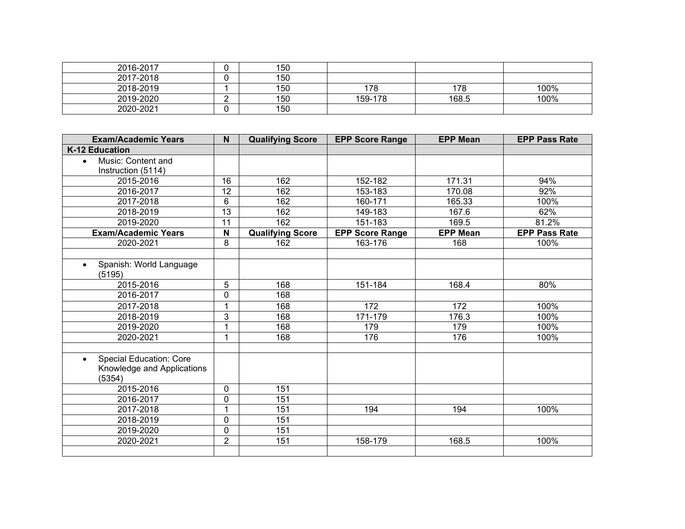| 2016-2017 | 150 |         |       |      |
|-----------|-----|---------|-------|------|
| 2017-2018 | 150 |         |       |      |
| 2018-2019 | 150 | הי      | 178   | 100% |
| 2019-2020 | 150 | 159-178 | 168.5 | 100% |
| 2020-2021 | 150 |         |       |      |

| <b>Exam/Academic Years</b>           | N              | <b>Qualifying Score</b> | <b>EPP Score Range</b> | <b>EPP Mean</b> | <b>EPP Pass Rate</b> |
|--------------------------------------|----------------|-------------------------|------------------------|-----------------|----------------------|
| K-12 Education                       |                |                         |                        |                 |                      |
| Music: Content and<br>$\bullet$      |                |                         |                        |                 |                      |
| Instruction (5114)                   |                |                         |                        |                 |                      |
| 2015-2016                            | 16             | 162                     | 152-182                | 171.31          | 94%                  |
| 2016-2017                            | 12             | 162                     | 153-183                | 170.08          | 92%                  |
| 2017-2018                            | 6              | 162                     | 160-171                | 165.33          | 100%                 |
| 2018-2019                            | 13             | 162                     | 149-183                | 167.6           | 62%                  |
| 2019-2020                            | 11             | 162                     | 151-183                | 169.5           | 81.2%                |
| <b>Exam/Academic Years</b>           | N              | <b>Qualifying Score</b> | <b>EPP Score Range</b> | <b>EPP Mean</b> | <b>EPP Pass Rate</b> |
| 2020-2021                            | 8              | 162                     | 163-176                | 168             | 100%                 |
|                                      |                |                         |                        |                 |                      |
| Spanish: World Language<br>$\bullet$ |                |                         |                        |                 |                      |
| (5195)                               |                |                         |                        |                 |                      |
| 2015-2016                            | 5              | 168                     | 151-184                | 168.4           | 80%                  |
| 2016-2017                            | 0              | 168                     |                        |                 |                      |
| 2017-2018                            | $\mathbf 1$    | 168                     | 172                    | 172             | 100%                 |
| 2018-2019                            | 3              | 168                     | 171-179                | 176.3           | 100%                 |
| 2019-2020                            | 1              | 168                     | 179                    | 179             | 100%                 |
| 2020-2021                            | $\mathbf 1$    | 168                     | 176                    | 176             | 100%                 |
|                                      |                |                         |                        |                 |                      |
| Special Education: Core<br>$\bullet$ |                |                         |                        |                 |                      |
| Knowledge and Applications           |                |                         |                        |                 |                      |
| (5354)                               |                |                         |                        |                 |                      |
| 2015-2016                            | 0              | 151                     |                        |                 |                      |
| 2016-2017                            | 0              | 151                     |                        |                 |                      |
| 2017-2018                            | $\mathbf 1$    | 151                     | 194                    | 194             | 100%                 |
| 2018-2019                            | 0              | 151                     |                        |                 |                      |
| 2019-2020                            | 0              | 151                     |                        |                 |                      |
| 2020-2021                            | $\overline{2}$ | 151                     | 158-179                | 168.5           | 100%                 |
|                                      |                |                         |                        |                 |                      |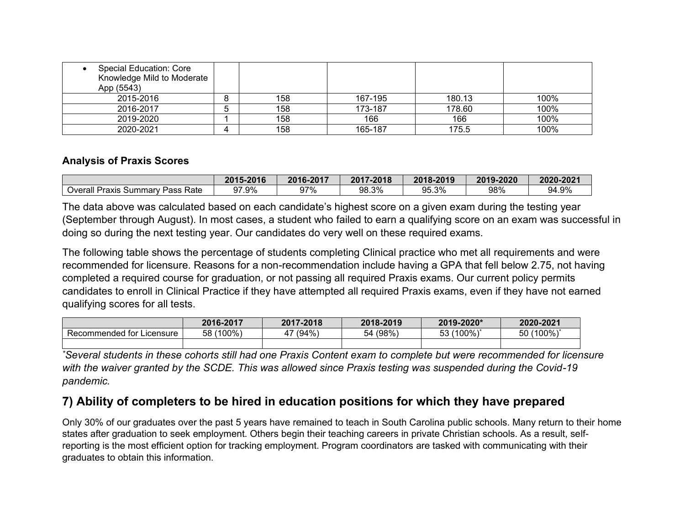| Special Education: Core<br>Knowledge Mild to Moderate<br>App (5543) |     |         |        |      |
|---------------------------------------------------------------------|-----|---------|--------|------|
| 2015-2016                                                           | 158 | 167-195 | 180.13 | 100% |
| 2016-2017                                                           | 158 | 173-187 | 178.60 | 100% |
| 2019-2020                                                           | 158 | 166     | 166    | 100% |
| 2020-2021                                                           | 158 | 165-187 | 175.5  | 100% |

#### **Analysis of Praxis Scores**

|                                             | 2015-2016 | 2016-2017  | 2017<br>$-2018$ | 2018-2019                    | 2019-2020 | 2020-2021 |
|---------------------------------------------|-----------|------------|-----------------|------------------------------|-----------|-----------|
| Overall<br>Rate<br>Praxis<br>. Summarv Pass | 97.9%     | 97%<br>ວ ເ | 98.3%           | 20/<br>۵ҕ<br><i>ອ</i> ບ.ບ ⁄0 | 98%       | 94.9%     |

The data above was calculated based on each candidate's highest score on a given exam during the testing year (September through August). In most cases, a student who failed to earn a qualifying score on an exam was successful in doing so during the next testing year. Our candidates do very well on these required exams.

The following table shows the percentage of students completing Clinical practice who met all requirements and were recommended for licensure. Reasons for a non-recommendation include having a GPA that fell below 2.75, not having completed a required course for graduation, or not passing all required Praxis exams. Our current policy permits candidates to enroll in Clinical Practice if they have attempted all required Praxis exams, even if they have not earned qualifying scores for all tests.

|                              | 2016-2017 | 2017-2018 | 2018-2019   | 2019-2020*        | 2020-2021         |
|------------------------------|-----------|-----------|-------------|-------------------|-------------------|
| Recommended for<br>Licensure | 58 (100%) | (94%      | (98%)<br>54 | $(100\%)^*$<br>53 | $(100\%)^*$<br>50 |
|                              |           |           |             |                   |                   |

*\*Several students in these cohorts still had one Praxis Content exam to complete but were recommended for licensure with the waiver granted by the SCDE. This was allowed since Praxis testing was suspended during the Covid-19 pandemic.*

### **7) Ability of completers to be hired in education positions for which they have prepared**

Only 30% of our graduates over the past 5 years have remained to teach in South Carolina public schools. Many return to their home states after graduation to seek employment. Others begin their teaching careers in private Christian schools. As a result, selfreporting is the most efficient option for tracking employment. Program coordinators are tasked with communicating with their graduates to obtain this information.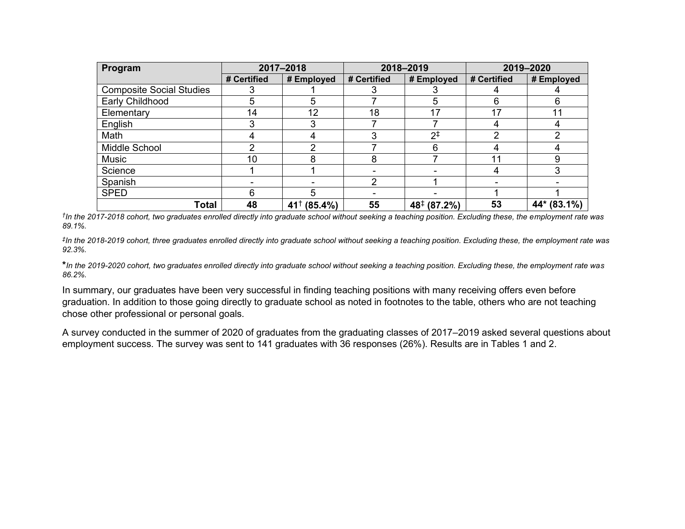| Program                         | 2017-2018   |                        |             | 2018-2019               | 2019-2020   |             |
|---------------------------------|-------------|------------------------|-------------|-------------------------|-------------|-------------|
|                                 | # Certified | # Employed             | # Certified | # Employed              | # Certified | # Employed  |
| <b>Composite Social Studies</b> |             |                        |             |                         |             |             |
| Early Childhood                 | 5           | 5                      |             |                         | 6           | 6           |
| Elementary                      | 14          | 12                     | 18          | 17                      | 17          | 11          |
| English                         |             |                        |             |                         |             |             |
| Math                            |             |                        |             | $2^{1}$                 | 2           |             |
| Middle School                   |             |                        |             |                         |             |             |
| Music                           | 10          |                        | 8           |                         | 11          | 9           |
| Science                         |             |                        |             |                         |             | 3           |
| Spanish                         |             |                        | ◠           |                         |             |             |
| <b>SPED</b>                     | 6           | 5                      |             |                         |             |             |
| <b>Total</b>                    | 48          | $41^{\dagger}$ (85.4%) | 55          | $48^{\ddagger}$ (87.2%) | 53          | 44* (83.1%) |

*† In the 2017-2018 cohort, two graduates enrolled directly into graduate school without seeking a teaching position. Excluding these, the employment rate was 89.1%.*

*‡ In the 2018-2019 cohort, three graduates enrolled directly into graduate school without seeking a teaching position. Excluding these, the employment rate was 92.3%.*

**\****In the 2019-2020 cohort, two graduates enrolled directly into graduate school without seeking a teaching position. Excluding these, the employment rate was 86.2%.*

In summary, our graduates have been very successful in finding teaching positions with many receiving offers even before graduation. In addition to those going directly to graduate school as noted in footnotes to the table, others who are not teaching chose other professional or personal goals.

A survey conducted in the summer of 2020 of graduates from the graduating classes of 2017–2019 asked several questions about employment success. The survey was sent to 141 graduates with 36 responses (26%). Results are in Tables 1 and 2.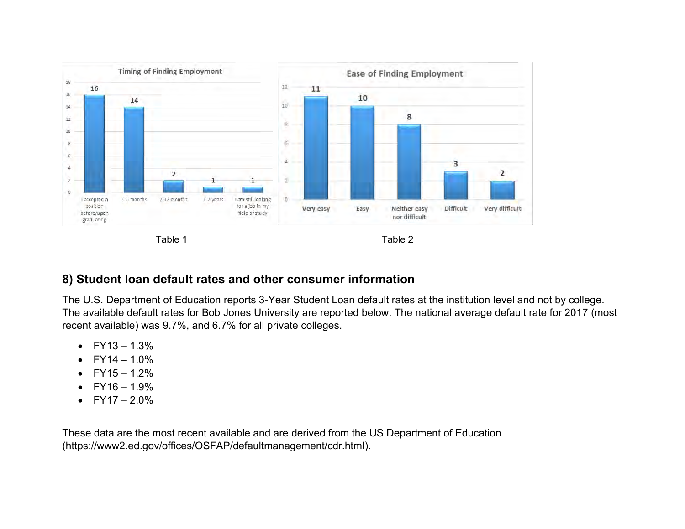

## **8) Student loan default rates and other consumer information**

The U.S. Department of Education reports 3-Year Student Loan default rates at the institution level and not by college. The available default rates for Bob Jones University are reported below. The national average default rate for 2017 (most recent available) was 9.7%, and 6.7% for all private colleges.

- $FY13 1.3%$
- $FY14 1.0%$
- $FY15 1.2%$
- $FY16 1.9%$
- $FY17 2.0%$

These data are the most recent available and are derived from the US Department of Education [\(https://www2.ed.gov/offices/OSFAP/defaultmanagement/cdr.html\)](https://www2.ed.gov/offices/OSFAP/defaultmanagement/cdr.html).